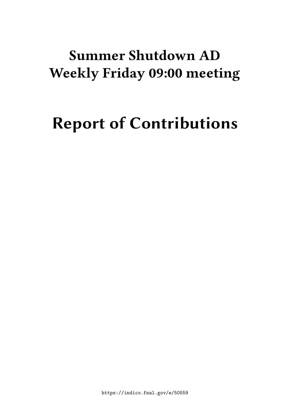# **Summer Shutdown AD Weekly Friday 09:00 meeting**

# **Report of Contributions**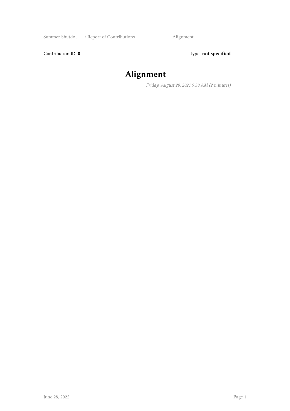Contribution ID: 0 Type: not specified

# **Alignment**

*Friday, August 20, 2021 9:50 AM (2 minutes)*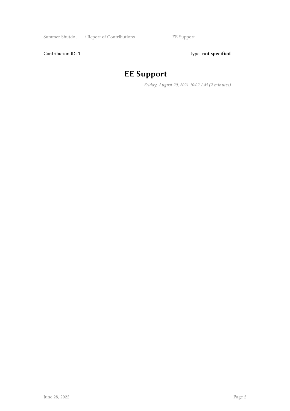Contribution ID: 1 Type: **not specified** 

## **EE Support**

*Friday, August 20, 2021 10:02 AM (2 minutes)*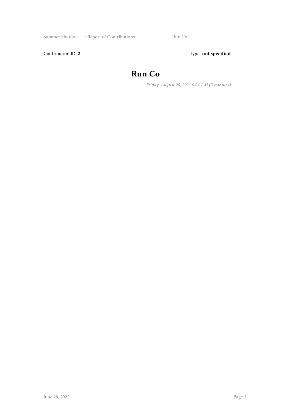Summer Shutdo … / Report of Contributions Run Co

Contribution ID: 2 Type: **not specified** 

#### **Run Co**

*Friday, August 20, 2021 9:04 AM (3 minutes)*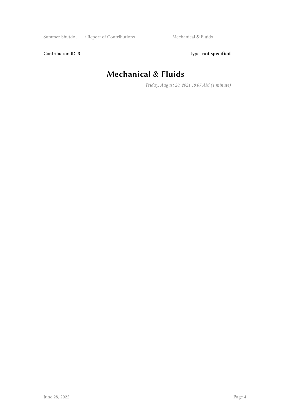Contribution ID: 3 Type: **not specified** 

## **Mechanical & Fluids**

*Friday, August 20, 2021 10:07 AM (1 minute)*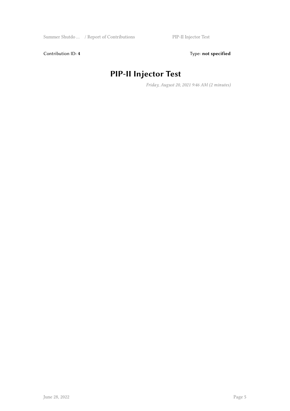Contribution ID: 4 Type: **not specified** 

# **PIP-II Injector Test**

*Friday, August 20, 2021 9:46 AM (2 minutes)*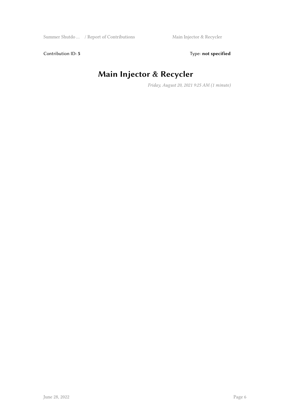Contribution ID: 5 Type: **not specified** 

## **Main Injector & Recycler**

*Friday, August 20, 2021 9:25 AM (1 minute)*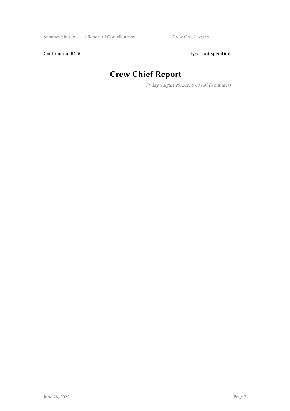Contribution ID: 6 Type: not specified

## **Crew Chief Report**

*Friday, August 20, 2021 9:00 AM (3 minutes)*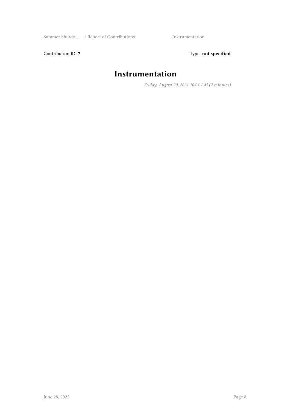Contribution ID: 7 Type: **not specified** 

#### **Instrumentation**

*Friday, August 20, 2021 10:04 AM (2 minutes)*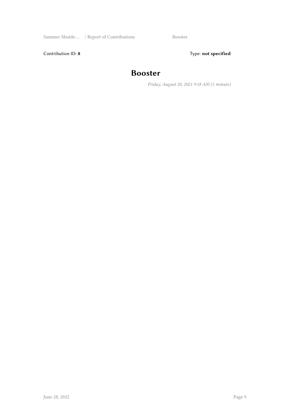Summer Shutdo ... / Report of Contributions Booster

Contribution ID: 8 Type: **not specified** 

#### **Booster**

*Friday, August 20, 2021 9:18 AM (1 minute)*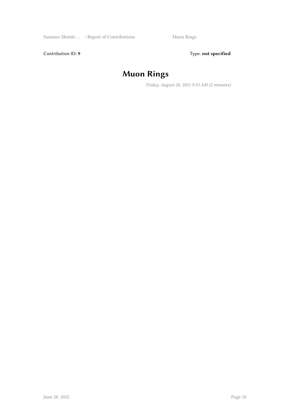Contribution ID: 9 Type: **not specified** 

# **Muon Rings**

*Friday, August 20, 2021 9:33 AM (2 minutes)*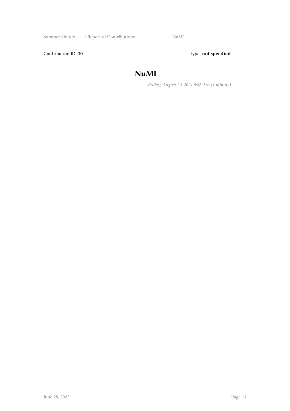Summer Shutdo … / Report of Contributions NuMI

Contribution ID: 10 **Type:** not specified

#### **NuMI**

*Friday, August 20, 2021 9:28 AM (1 minute)*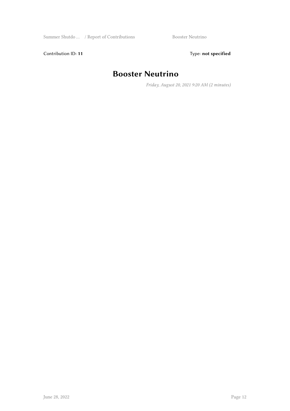Contribution ID: 11 Type: **not specified** 

#### **Booster Neutrino**

*Friday, August 20, 2021 9:20 AM (2 minutes)*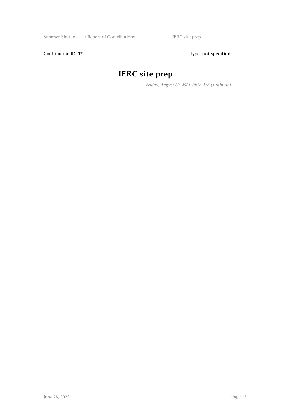Contribution ID: 12 Type: **not specified** 

# **IERC site prep**

*Friday, August 20, 2021 10:16 AM (1 minute)*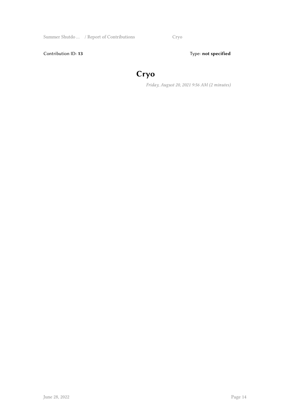Summer Shutdo ... / Report of Contributions Cryo

Contribution ID: 13 Type: **not specified** 

## **Cryo**

*Friday, August 20, 2021 9:56 AM (2 minutes)*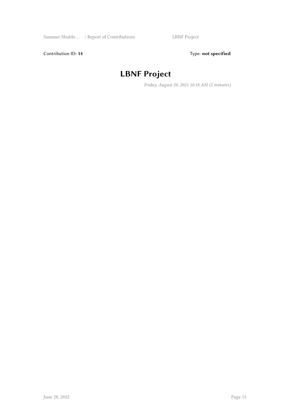Contribution ID: 14 Type: **not specified** 

#### **LBNF Project**

*Friday, August 20, 2021 10:18 AM (2 minutes)*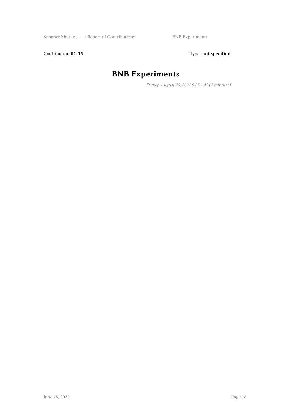Contribution ID: 15 Type: **not specified** 

# **BNB Experiments**

*Friday, August 20, 2021 9:23 AM (2 minutes)*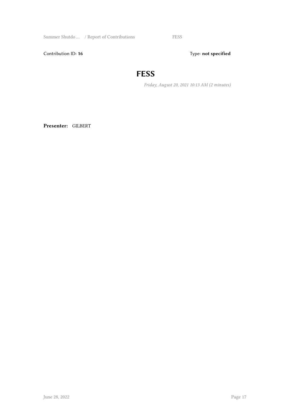Summer Shutdo ... / Report of Contributions FESS

Contribution ID: 16 Type: not specified

#### **FESS**

*Friday, August 20, 2021 10:13 AM (2 minutes)*

**Presenter:** GILBERT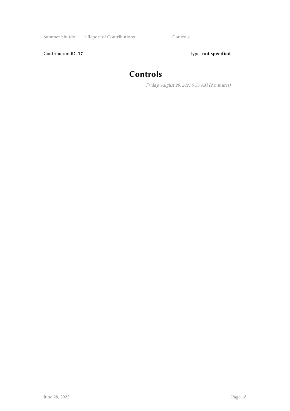Contribution ID: 17 Type: **not specified** 

#### **Controls**

*Friday, August 20, 2021 9:53 AM (2 minutes)*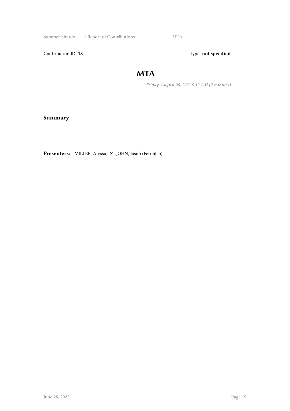Summer Shutdo ... / Report of Contributions MTA

Contribution ID: 18 Type: not specified

#### **MTA**

*Friday, August 20, 2021 9:12 AM (2 minutes)*

**Summary**

**Presenters:** MILLER, Alyssa; ST.JOHN, Jason (Fermilab)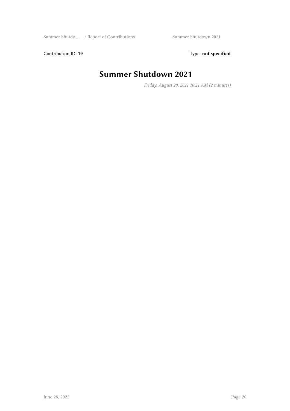Contribution ID: 19 Type: **not specified** 

#### **Summer Shutdown 2021**

*Friday, August 20, 2021 10:21 AM (2 minutes)*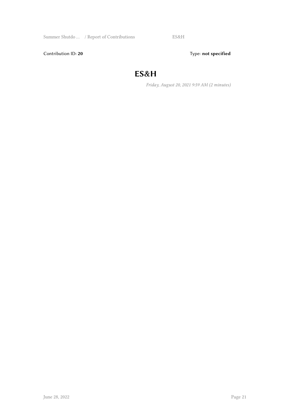Summer Shutdo … / Report of Contributions ES&H

Contribution ID: 20 Type: **not specified** 

#### **ES&H**

*Friday, August 20, 2021 9:59 AM (2 minutes)*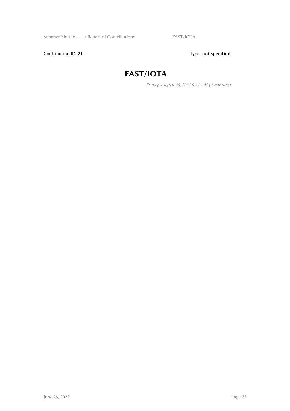Contribution ID: 21 Type: **not specified** 

#### **FAST/IOTA**

*Friday, August 20, 2021 9:44 AM (2 minutes)*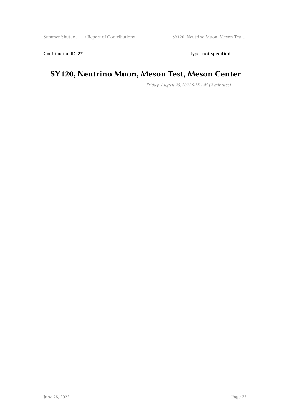Contribution ID: 22 Type: **not specified** 

#### **SY120, Neutrino Muon, Meson Test, Meson Center**

*Friday, August 20, 2021 9:38 AM (2 minutes)*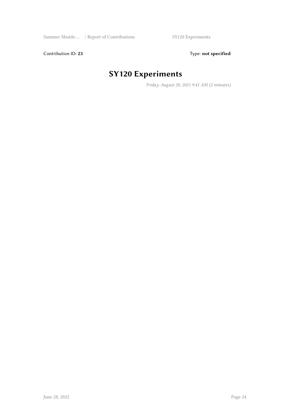Contribution ID: 23 Type: **not specified** 

# **SY120 Experiments**

*Friday, August 20, 2021 9:41 AM (2 minutes)*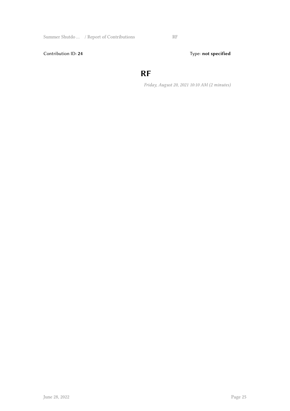Contribution ID: 24 Type: **not specified** 

#### **RF**

*Friday, August 20, 2021 10:10 AM (2 minutes)*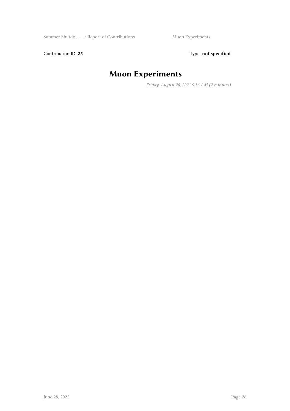Contribution ID: 25 Type: **not specified** 

# **Muon Experiments**

*Friday, August 20, 2021 9:36 AM (2 minutes)*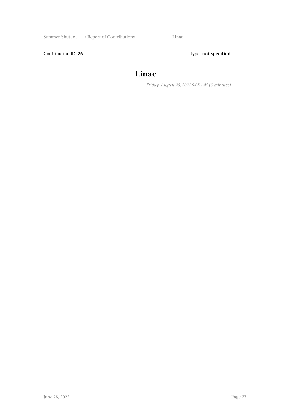Summer Shutdo … / Report of Contributions Linac

Contribution ID: 26 Type: **not specified** 

#### **Linac**

*Friday, August 20, 2021 9:08 AM (3 minutes)*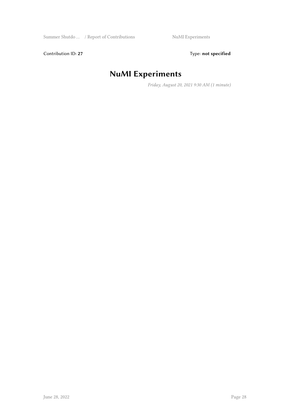Contribution ID: 27 Type: **not specified** 

# **NuMI Experiments**

*Friday, August 20, 2021 9:30 AM (1 minute)*